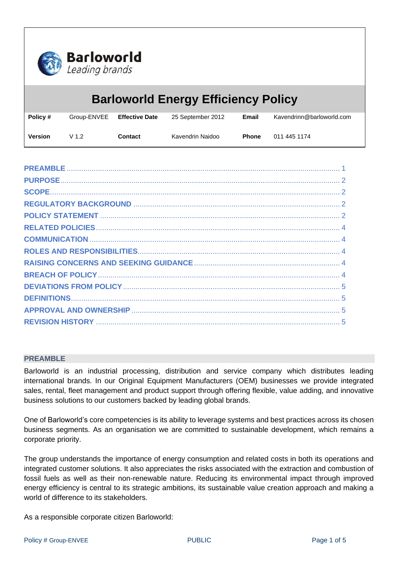

| <b>Barloworld Energy Efficiency Policy</b> |                  |                       |                   |              |                           |  |
|--------------------------------------------|------------------|-----------------------|-------------------|--------------|---------------------------|--|
| Policy #                                   | Group-ENVEE      | <b>Effective Date</b> | 25 September 2012 | Email        | Kavendrinn@barloworld.com |  |
| <b>Version</b>                             | V <sub>1.2</sub> | Contact               | Kavendrin Naidoo  | <b>Phone</b> | 011 445 1174              |  |

#### <span id="page-0-0"></span>**PREAMBLE**

Barloworld is an industrial processing, distribution and service company which distributes leading international brands. In our Original Equipment Manufacturers (OEM) businesses we provide integrated sales, rental, fleet management and product support through offering flexible, value adding, and innovative business solutions to our customers backed by leading global brands.

One of Barloworld's core competencies is its ability to leverage systems and best practices across its chosen business segments. As an organisation we are committed to sustainable development, which remains a corporate priority.

The group understands the importance of energy consumption and related costs in both its operations and integrated customer solutions. It also appreciates the risks associated with the extraction and combustion of fossil fuels as well as their non-renewable nature. Reducing its environmental impact through improved energy efficiency is central to its strategic ambitions, its sustainable value creation approach and making a world of difference to its stakeholders.

As a responsible corporate citizen Barloworld: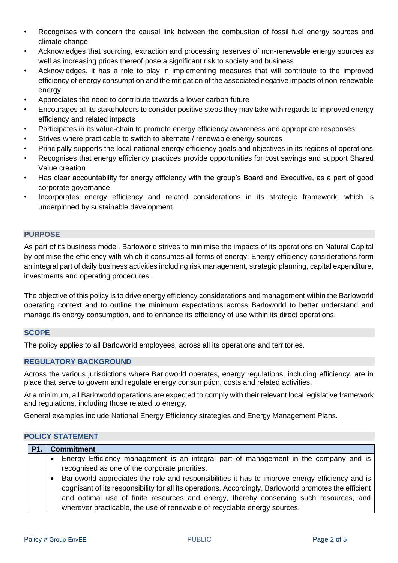- Recognises with concern the causal link between the combustion of fossil fuel energy sources and climate change
- Acknowledges that sourcing, extraction and processing reserves of non-renewable energy sources as well as increasing prices thereof pose a significant risk to society and business
- Acknowledges, it has a role to play in implementing measures that will contribute to the improved efficiency of energy consumption and the mitigation of the associated negative impacts of non-renewable energy
- Appreciates the need to contribute towards a lower carbon future
- Encourages all its stakeholders to consider positive steps they may take with regards to improved energy efficiency and related impacts
- Participates in its value-chain to promote energy efficiency awareness and appropriate responses
- Strives where practicable to switch to alternate / renewable energy sources
- Principally supports the local national energy efficiency goals and objectives in its regions of operations
- Recognises that energy efficiency practices provide opportunities for cost savings and support Shared Value creation
- Has clear accountability for energy efficiency with the group's Board and Executive, as a part of good corporate governance
- Incorporates energy efficiency and related considerations in its strategic framework, which is underpinned by sustainable development.

### <span id="page-1-0"></span>**PURPOSE**

As part of its business model, Barloworld strives to minimise the impacts of its operations on Natural Capital by optimise the efficiency with which it consumes all forms of energy. Energy efficiency considerations form an integral part of daily business activities including risk management, strategic planning, capital expenditure, investments and operating procedures.

The objective of this policy is to drive energy efficiency considerations and management within the Barloworld operating context and to outline the minimum expectations across Barloworld to better understand and manage its energy consumption, and to enhance its efficiency of use within its direct operations.

# <span id="page-1-1"></span>**SCOPE**

The policy applies to all Barloworld employees, across all its operations and territories.

# <span id="page-1-2"></span>**REGULATORY BACKGROUND**

Across the various jurisdictions where Barloworld operates, energy regulations, including efficiency, are in place that serve to govern and regulate energy consumption, costs and related activities.

At a minimum, all Barloworld operations are expected to comply with their relevant local legislative framework and regulations, including those related to energy.

General examples include National Energy Efficiency strategies and Energy Management Plans.

# <span id="page-1-3"></span>**POLICY STATEMENT**

| <b>Commitment</b>                                                                                      |
|--------------------------------------------------------------------------------------------------------|
| • Energy Efficiency management is an integral part of management in the company and is                 |
| recognised as one of the corporate priorities.                                                         |
| Barloworld appreciates the role and responsibilities it has to improve energy efficiency and is        |
| cognisant of its responsibility for all its operations. Accordingly, Barloworld promotes the efficient |
| and optimal use of finite resources and energy, thereby conserving such resources, and                 |
| wherever practicable, the use of renewable or recyclable energy sources.                               |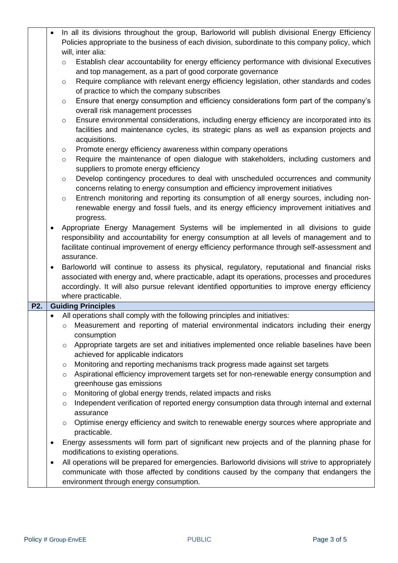|                  |                                                                                             | In all its divisions throughout the group, Barloworld will publish divisional Energy Efficiency        |  |  |  |
|------------------|---------------------------------------------------------------------------------------------|--------------------------------------------------------------------------------------------------------|--|--|--|
|                  |                                                                                             | Policies appropriate to the business of each division, subordinate to this company policy, which       |  |  |  |
|                  |                                                                                             | will, inter alia:                                                                                      |  |  |  |
|                  |                                                                                             | Establish clear accountability for energy efficiency performance with divisional Executives<br>$\circ$ |  |  |  |
|                  |                                                                                             | and top management, as a part of good corporate governance                                             |  |  |  |
|                  |                                                                                             | Require compliance with relevant energy efficiency legislation, other standards and codes<br>$\circ$   |  |  |  |
|                  |                                                                                             | of practice to which the company subscribes                                                            |  |  |  |
|                  |                                                                                             | Ensure that energy consumption and efficiency considerations form part of the company's<br>$\circ$     |  |  |  |
|                  |                                                                                             | overall risk management processes                                                                      |  |  |  |
|                  |                                                                                             | Ensure environmental considerations, including energy efficiency are incorporated into its<br>$\circ$  |  |  |  |
|                  |                                                                                             | facilities and maintenance cycles, its strategic plans as well as expansion projects and               |  |  |  |
|                  |                                                                                             |                                                                                                        |  |  |  |
|                  |                                                                                             | acquisitions.                                                                                          |  |  |  |
|                  |                                                                                             | Promote energy efficiency awareness within company operations<br>$\circ$                               |  |  |  |
|                  |                                                                                             | Require the maintenance of open dialogue with stakeholders, including customers and<br>$\circ$         |  |  |  |
|                  |                                                                                             | suppliers to promote energy efficiency                                                                 |  |  |  |
|                  |                                                                                             | Develop contingency procedures to deal with unscheduled occurrences and community<br>$\circ$           |  |  |  |
|                  |                                                                                             | concerns relating to energy consumption and efficiency improvement initiatives                         |  |  |  |
|                  |                                                                                             | Entrench monitoring and reporting its consumption of all energy sources, including non-<br>$\circ$     |  |  |  |
|                  |                                                                                             | renewable energy and fossil fuels, and its energy efficiency improvement initiatives and               |  |  |  |
|                  |                                                                                             | progress.                                                                                              |  |  |  |
|                  | $\bullet$                                                                                   | Appropriate Energy Management Systems will be implemented in all divisions to guide                    |  |  |  |
|                  | responsibility and accountability for energy consumption at all levels of management and to |                                                                                                        |  |  |  |
|                  |                                                                                             | facilitate continual improvement of energy efficiency performance through self-assessment and          |  |  |  |
|                  |                                                                                             | assurance.                                                                                             |  |  |  |
|                  | ٠                                                                                           | Barloworld will continue to assess its physical, regulatory, reputational and financial risks          |  |  |  |
|                  |                                                                                             | associated with energy and, where practicable, adapt its operations, processes and procedures          |  |  |  |
|                  |                                                                                             | accordingly. It will also pursue relevant identified opportunities to improve energy efficiency        |  |  |  |
|                  |                                                                                             | where practicable.                                                                                     |  |  |  |
| P <sub>2</sub> . |                                                                                             | <b>Guiding Principles</b>                                                                              |  |  |  |
|                  | $\bullet$                                                                                   | All operations shall comply with the following principles and initiatives:                             |  |  |  |
|                  |                                                                                             | Measurement and reporting of material environmental indicators including their energy<br>$\circ$       |  |  |  |
|                  |                                                                                             | consumption                                                                                            |  |  |  |
|                  |                                                                                             | Appropriate targets are set and initiatives implemented once reliable baselines have been<br>$\circ$   |  |  |  |
|                  |                                                                                             | achieved for applicable indicators                                                                     |  |  |  |
|                  |                                                                                             | Monitoring and reporting mechanisms track progress made against set targets<br>$\circ$                 |  |  |  |
|                  |                                                                                             | Aspirational efficiency improvement targets set for non-renewable energy consumption and<br>$\circ$    |  |  |  |
|                  |                                                                                             | greenhouse gas emissions                                                                               |  |  |  |
|                  |                                                                                             | Monitoring of global energy trends, related impacts and risks<br>$\circ$                               |  |  |  |
|                  |                                                                                             | Independent verification of reported energy consumption data through internal and external<br>$\circ$  |  |  |  |
|                  |                                                                                             | assurance                                                                                              |  |  |  |
|                  |                                                                                             | Optimise energy efficiency and switch to renewable energy sources where appropriate and<br>$\circ$     |  |  |  |
|                  |                                                                                             | practicable.                                                                                           |  |  |  |
|                  |                                                                                             | Energy assessments will form part of significant new projects and of the planning phase for            |  |  |  |
|                  |                                                                                             | modifications to existing operations.                                                                  |  |  |  |
|                  | ٠                                                                                           | All operations will be prepared for emergencies. Barloworld divisions will strive to appropriately     |  |  |  |
|                  |                                                                                             | communicate with those affected by conditions caused by the company that endangers the                 |  |  |  |
|                  |                                                                                             | environment through energy consumption.                                                                |  |  |  |
|                  |                                                                                             |                                                                                                        |  |  |  |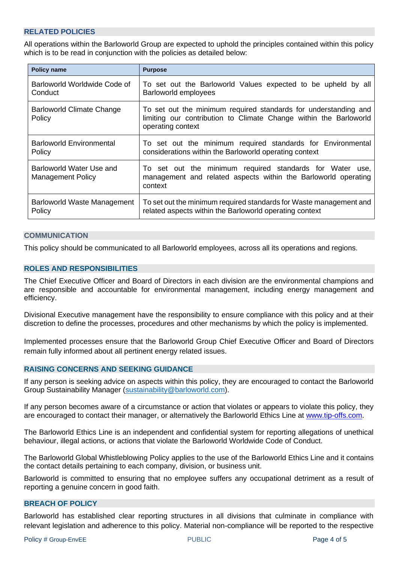# <span id="page-3-0"></span>**RELATED POLICIES**

All operations within the Barloworld Group are expected to uphold the principles contained within this policy which is to be read in conjunction with the policies as detailed below:

| <b>Policy name</b>                                   | <b>Purpose</b>                                                                                                                                            |  |  |
|------------------------------------------------------|-----------------------------------------------------------------------------------------------------------------------------------------------------------|--|--|
| Barloworld Worldwide Code of                         | To set out the Barloworld Values expected to be upheld by all                                                                                             |  |  |
| Conduct                                              | Barloworld employees                                                                                                                                      |  |  |
| <b>Barloworld Climate Change</b><br>Policy           | To set out the minimum required standards for understanding and<br>limiting our contribution to Climate Change within the Barloworld<br>operating context |  |  |
| <b>Barloworld Environmental</b>                      | To set out the minimum required standards for Environmental                                                                                               |  |  |
| Policy                                               | considerations within the Barloworld operating context                                                                                                    |  |  |
| Barloworld Water Use and<br><b>Management Policy</b> | To set out the minimum required standards for Water use,<br>management and related aspects within the Barloworld operating<br>context                     |  |  |
| Barloworld Waste Management                          | To set out the minimum required standards for Waste management and                                                                                        |  |  |
| Policy                                               | related aspects within the Barloworld operating context                                                                                                   |  |  |

## <span id="page-3-1"></span>**COMMUNICATION**

<span id="page-3-2"></span>This policy should be communicated to all Barloworld employees, across all its operations and regions.

## **ROLES AND RESPONSIBILITIES**

The Chief Executive Officer and Board of Directors in each division are the environmental champions and are responsible and accountable for environmental management, including energy management and efficiency.

Divisional Executive management have the responsibility to ensure compliance with this policy and at their discretion to define the processes, procedures and other mechanisms by which the policy is implemented.

Implemented processes ensure that the Barloworld Group Chief Executive Officer and Board of Directors remain fully informed about all pertinent energy related issues.

#### <span id="page-3-3"></span>**RAISING CONCERNS AND SEEKING GUIDANCE**

If any person is seeking advice on aspects within this policy, they are encouraged to contact the Barloworld Group Sustainability Manager [\(sustainability@barloworld.com\)](mailto:sustainability@barloworld.com).

If any person becomes aware of a circumstance or action that violates or appears to violate this policy, they are encouraged to contact their manager, or alternatively the Barloworld Ethics Line at [www.tip-offs.com.](http://www.top-offs.com/)

The Barloworld Ethics Line is an independent and confidential system for reporting allegations of unethical behaviour, illegal actions, or actions that violate the Barloworld Worldwide Code of Conduct.

The Barloworld Global Whistleblowing Policy applies to the use of the Barloworld Ethics Line and it contains the contact details pertaining to each company, division, or business unit.

Barloworld is committed to ensuring that no employee suffers any occupational detriment as a result of reporting a genuine concern in good faith.

#### <span id="page-3-4"></span>**BREACH OF POLICY**

Barloworld has established clear reporting structures in all divisions that culminate in compliance with relevant legislation and adherence to this policy. Material non-compliance will be reported to the respective